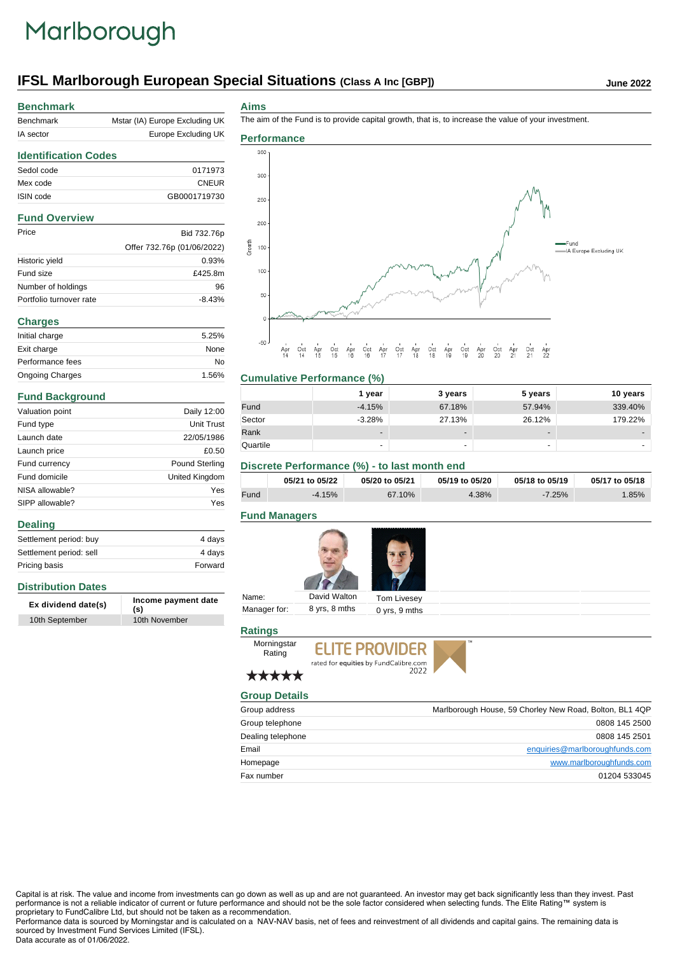## Marlborough

## **IFSL Marlborough European Special Situations (Class A Inc [GBP])** June 2022

| <b>Benchmark</b>            |                                |
|-----------------------------|--------------------------------|
| Benchmark                   | Mstar (IA) Europe Excluding UK |
| IA sector                   | Europe Excluding UK            |
| <b>Identification Codes</b> |                                |
| Sedol code                  | 0171973                        |
| Mex code                    | <b>CNEUR</b>                   |
| ISIN code                   | GB0001719730                   |
| <b>Fund Overview</b>        |                                |
| Price                       | Bid 732.76p                    |
|                             | Offer 732.76p (01/06/2022)     |
| Historic yield              | 0.93%                          |
| Fund size                   | £425.8m                        |
| Number of holdings          | 96                             |
| Portfolio turnover rate     | $-8.43%$                       |
| <b>Charges</b>              |                                |
| Initial charge              | 5.25%                          |
| Exit charge                 | None                           |
| Performance fees            | No                             |
| <b>Ongoing Charges</b>      | 1.56%                          |
| <b>Fund Background</b>      |                                |
| Valuation point             | Daily 12:00                    |

| Valuation point | Daily 12:00           |  |
|-----------------|-----------------------|--|
| Fund type       | Unit Trust            |  |
| Launch date     | 22/05/1986            |  |
| Launch price    | £0.50                 |  |
| Fund currency   | <b>Pound Sterling</b> |  |
| Fund domicile   | United Kingdom        |  |
| NISA allowable? | Yes                   |  |
| SIPP allowable? | Yes                   |  |

#### **Dealing**

| Settlement period: buy  | 4 davs  |
|-------------------------|---------|
| Settlement period: sell | 4 days  |
| Pricing basis           | Forward |

## **Distribution Dates**

| Ex dividend date(s) | Income payment date<br>(s) |
|---------------------|----------------------------|
| 10th September      | 10th November              |

#### **Aims**

The aim of the Fund is to provide capital growth, that is, to increase the value of your investment.



## **Cumulative Performance (%)**

|          | year     | 3 years                  | 5 years                  | 10 years |
|----------|----------|--------------------------|--------------------------|----------|
| Fund     | $-4.15%$ | 67.18%                   | 57.94%                   | 339.40%  |
| Sector   | $-3.28%$ | 27.13%                   | 26.12%                   | 179.22%  |
| Rank     | -        | $\overline{\phantom{0}}$ | $\overline{\phantom{a}}$ |          |
| Quartile | -        | -                        | $\overline{\phantom{a}}$ |          |

## **Discrete Performance (%) - to last month end**

|      | 05/21 to 05/22 | 05/20 to 05/21 | 05/19 to 05/20 | 05/18 to 05/19 | 05/17 to 05/18 |
|------|----------------|----------------|----------------|----------------|----------------|
| Fund | $-4.15%$       | 67.10%         | 4.38%          | $-7.25%$       | .85%           |

## **Fund Managers**



| Name:        | David Walton  | Tom Livesey       |  |
|--------------|---------------|-------------------|--|
| Manager for: | 8 yrs, 8 mths | $0$ yrs, $9$ mths |  |

## **Ratings**

**ELITE PROVIDER** rated for equities by FundCalibre.com<br>2022





## \*\*\*\*\* **Group Details**

Morningstar Rating

| Group address     | Marlborough House, 59 Chorley New Road, Bolton, BL1 4QP |
|-------------------|---------------------------------------------------------|
| Group telephone   | 0808 145 2500                                           |
| Dealing telephone | 0808 145 2501                                           |
| Email             | enquiries@marlboroughfunds.com                          |
| Homepage          | www.marlboroughfunds.com                                |
| Fax number        | 01204 533045                                            |

Capital is at risk. The value and income from investments can go down as well as up and are not guaranteed. An investor may get back significantly less than they invest. Past performance is not a reliable indicator of current or future performance and should not be the sole factor considered when selecting funds. The Elite Rating™ system is proprietary to FundCalibre Ltd, but should not be taken as a recommendation.

Performance data is sourced by Morningstar and is calculated on a NAV-NAV basis, net of fees and reinvestment of all dividends and capital gains. The remaining data is sourced by Investment Fund Services Limited (IFSL). Data accurate as of 01/06/2022.